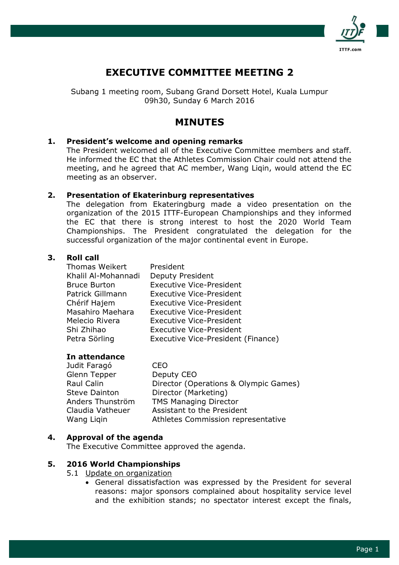

# EXECUTIVE COMMITTEE MEETING 2

Subang 1 meeting room, Subang Grand Dorsett Hotel, Kuala Lumpur 09h30, Sunday 6 March 2016

# MINUTES

## 1. President's welcome and opening remarks

The President welcomed all of the Executive Committee members and staff. He informed the EC that the Athletes Commission Chair could not attend the meeting, and he agreed that AC member, Wang Liqin, would attend the EC meeting as an observer.

## 2. Presentation of Ekaterinburg representatives

The delegation from Ekateringburg made a video presentation on the organization of the 2015 ITTF-European Championships and they informed the EC that there is strong interest to host the 2020 World Team Championships. The President congratulated the delegation for the successful organization of the major continental event in Europe.

## 3. Roll call

| <b>Thomas Weikert</b> | President                          |
|-----------------------|------------------------------------|
| Khalil Al-Mohannadi   | Deputy President                   |
| <b>Bruce Burton</b>   | <b>Executive Vice-President</b>    |
| Patrick Gillmann      | <b>Executive Vice-President</b>    |
| Chérif Hajem          | <b>Executive Vice-President</b>    |
| Masahiro Maehara      | <b>Executive Vice-President</b>    |
| Melecio Rivera        | <b>Executive Vice-President</b>    |
| Shi Zhihao            | <b>Executive Vice-President</b>    |
| Petra Sörling         | Executive Vice-President (Finance) |

### In attendance

| Judit Faragó         | CFO                                   |
|----------------------|---------------------------------------|
| Glenn Tepper         | Deputy CEO                            |
| Raul Calin           | Director (Operations & Olympic Games) |
| <b>Steve Dainton</b> | Director (Marketing)                  |
| Anders Thunström     | <b>TMS Managing Director</b>          |
| Claudia Vatheuer     | Assistant to the President            |
| Wang Ligin           | Athletes Commission representative    |
|                      |                                       |

### 4. Approval of the agenda

The Executive Committee approved the agenda.

### 5. 2016 World Championships

- 5.1 Update on organization
	- General dissatisfaction was expressed by the President for several reasons: major sponsors complained about hospitality service level and the exhibition stands; no spectator interest except the finals,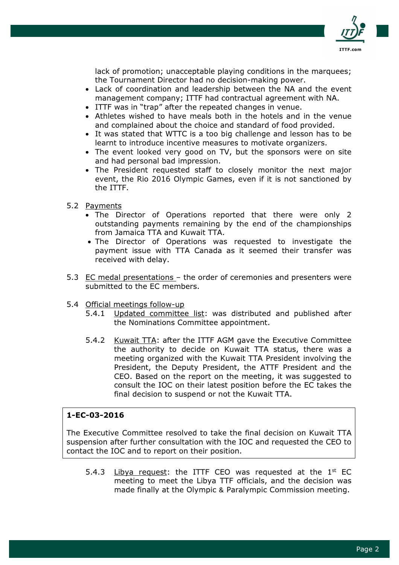

lack of promotion; unacceptable playing conditions in the marquees; the Tournament Director had no decision-making power.

- Lack of coordination and leadership between the NA and the event management company; ITTF had contractual agreement with NA.
- ITTF was in "trap" after the repeated changes in venue.
- Athletes wished to have meals both in the hotels and in the venue and complained about the choice and standard of food provided.
- It was stated that WTTC is a too big challenge and lesson has to be learnt to introduce incentive measures to motivate organizers.
- The event looked very good on TV, but the sponsors were on site and had personal bad impression.
- The President requested staff to closely monitor the next major event, the Rio 2016 Olympic Games, even if it is not sanctioned by the ITTF.
- 5.2 Payments
	- The Director of Operations reported that there were only 2 outstanding payments remaining by the end of the championships from Jamaica TTA and Kuwait TTA.
	- The Director of Operations was requested to investigate the payment issue with TTA Canada as it seemed their transfer was received with delay.
- 5.3 EC medal presentations the order of ceremonies and presenters were submitted to the EC members.
- 5.4 Official meetings follow-up
	- 5.4.1 Updated committee list: was distributed and published after the Nominations Committee appointment.
	- 5.4.2 Kuwait TTA: after the ITTF AGM gave the Executive Committee the authority to decide on Kuwait TTA status, there was a meeting organized with the Kuwait TTA President involving the President, the Deputy President, the ATTF President and the CEO. Based on the report on the meeting, it was suggested to consult the IOC on their latest position before the EC takes the final decision to suspend or not the Kuwait TTA.

## 1-EC-03-2016

The Executive Committee resolved to take the final decision on Kuwait TTA suspension after further consultation with the IOC and requested the CEO to contact the IOC and to report on their position.

5.4.3 Libya request: the ITTF CEO was requested at the  $1<sup>st</sup>$  EC meeting to meet the Libya TTF officials, and the decision was made finally at the Olympic & Paralympic Commission meeting.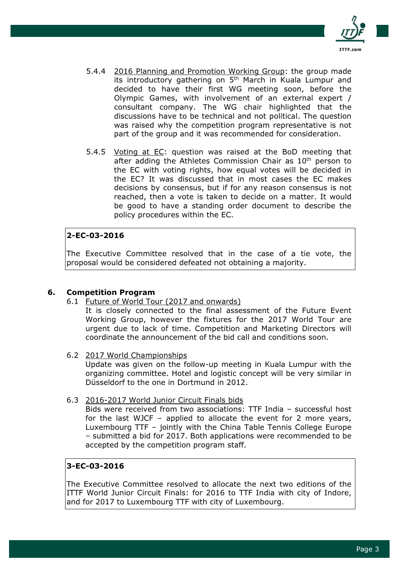

- 5.4.4 2016 Planning and Promotion Working Group: the group made its introductory gathering on 5<sup>th</sup> March in Kuala Lumpur and decided to have their first WG meeting soon, before the Olympic Games, with involvement of an external expert / consultant company. The WG chair highlighted that the discussions have to be technical and not political. The question was raised why the competition program representative is not part of the group and it was recommended for consideration.
- 5.4.5 Voting at EC: question was raised at the BoD meeting that after adding the Athletes Commission Chair as 10<sup>th</sup> person to the EC with voting rights, how equal votes will be decided in the EC? It was discussed that in most cases the EC makes decisions by consensus, but if for any reason consensus is not reached, then a vote is taken to decide on a matter. It would be good to have a standing order document to describe the policy procedures within the EC.

## 2-EC-03-2016

The Executive Committee resolved that in the case of a tie vote, the proposal would be considered defeated not obtaining a majority.

## 6. Competition Program

6.1 Future of World Tour (2017 and onwards)

It is closely connected to the final assessment of the Future Event Working Group, however the fixtures for the 2017 World Tour are urgent due to lack of time. Competition and Marketing Directors will coordinate the announcement of the bid call and conditions soon.

6.2 2017 World Championships

Update was given on the follow-up meeting in Kuala Lumpur with the organizing committee. Hotel and logistic concept will be very similar in Düsseldorf to the one in Dortmund in 2012.

6.3 2016-2017 World Junior Circuit Finals bids

Bids were received from two associations: TTF India – successful host for the last WJCF – applied to allocate the event for 2 more years, Luxembourg TTF – jointly with the China Table Tennis College Europe – submitted a bid for 2017. Both applications were recommended to be accepted by the competition program staff.

## 3-EC-03-2016

The Executive Committee resolved to allocate the next two editions of the ITTF World Junior Circuit Finals: for 2016 to TTF India with city of Indore, and for 2017 to Luxembourg TTF with city of Luxembourg.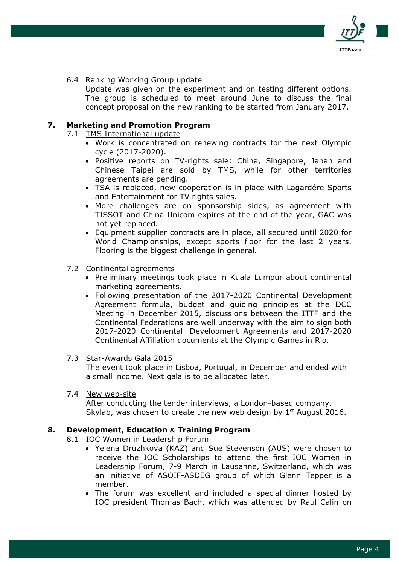

6.4 Ranking Working Group update

Update was given on the experiment and on testing different options. The group is scheduled to meet around June to discuss the final concept proposal on the new ranking to be started from January 2017.

## 7. Marketing and Promotion Program

- 7.1 TMS International update
	- Work is concentrated on renewing contracts for the next Olympic cycle (2017-2020).
	- Positive reports on TV-rights sale: China, Singapore, Japan and Chinese Taipei are sold by TMS, while for other territories agreements are pending.
	- TSA is replaced, new cooperation is in place with Lagardére Sports and Entertainment for TV rights sales.
	- More challenges are on sponsorship sides, as agreement with TISSOT and China Unicom expires at the end of the year, GAC was not yet replaced.
	- Equipment supplier contracts are in place, all secured until 2020 for World Championships, except sports floor for the last 2 years. Flooring is the biggest challenge in general.

#### 7.2 Continental agreements

- Preliminary meetings took place in Kuala Lumpur about continental marketing agreements.
- Following presentation of the 2017-2020 Continental Development Agreement formula, budget and guiding principles at the DCC Meeting in December 2015, discussions between the ITTF and the Continental Federations are well underway with the aim to sign both 2017-2020 Continental Development Agreements and 2017-2020 Continental Affiliation documents at the Olympic Games in Rio.
- 7.3 Star-Awards Gala 2015

The event took place in Lisboa, Portugal, in December and ended with a small income. Next gala is to be allocated later.

7.4 New web-site

After conducting the tender interviews, a London-based company, Skylab, was chosen to create the new web design by  $1<sup>st</sup>$  August 2016.

### 8. Development, Education & Training Program

- 8.1 IOC Women in Leadership Forum
	- Yelena Druzhkova (KAZ) and Sue Stevenson (AUS) were chosen to receive the IOC Scholarships to attend the first IOC Women in Leadership Forum, 7-9 March in Lausanne, Switzerland, which was an initiative of ASOIF-ASDEG group of which Glenn Tepper is a member.
	- The forum was excellent and included a special dinner hosted by IOC president Thomas Bach, which was attended by Raul Calin on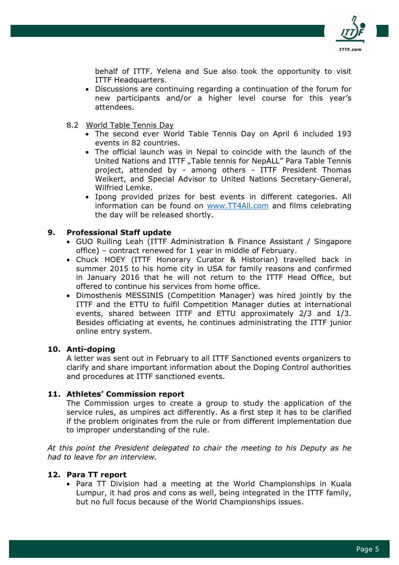

behalf of ITTF. Yelena and Sue also took the opportunity to visit ITTF Headquarters.

- Discussions are continuing regarding a continuation of the forum for new participants and/or a higher level course for this year's attendees.
- 8.2 World Table Tennis Day
	- The second ever World Table Tennis Day on April 6 included 193 events in 82 countries.
	- The official launch was in Nepal to coincide with the launch of the United Nations and ITTF "Table tennis for NepALL" Para Table Tennis project, attended by - among others - ITTF President Thomas Weikert, and Special Advisor to United Nations Secretary-General, Wilfried Lemke.
	- Ipong provided prizes for best events in different categories. All information can be found on www.TT4All.com and films celebrating the day will be released shortly.

## 9. Professional Staff update

- GUO Ruiling Leah (ITTF Administration & Finance Assistant / Singapore office) – contract renewed for 1 year in middle of February.
- Chuck HOEY (ITTF Honorary Curator & Historian) travelled back in summer 2015 to his home city in USA for family reasons and confirmed in January 2016 that he will not return to the ITTF Head Office, but offered to continue his services from home office.
- Dimosthenis MESSINIS (Competition Manager) was hired jointly by the ITTF and the ETTU to fulfil Competition Manager duties at international events, shared between ITTF and ETTU approximately 2/3 and 1/3. Besides officiating at events, he continues administrating the ITTF junior online entry system.

### 10. Anti-doping

A letter was sent out in February to all ITTF Sanctioned events organizers to clarify and share important information about the Doping Control authorities and procedures at ITTF sanctioned events.

### 11. Athletes' Commission report

The Commission urges to create a group to study the application of the service rules, as umpires act differently. As a first step it has to be clarified if the problem originates from the rule or from different implementation due to improper understanding of the rule.

At this point the President delegated to chair the meeting to his Deputy as he had to leave for an interview.

### 12. Para TT report

• Para TT Division had a meeting at the World Championships in Kuala Lumpur, it had pros and cons as well, being integrated in the ITTF family, but no full focus because of the World Championships issues.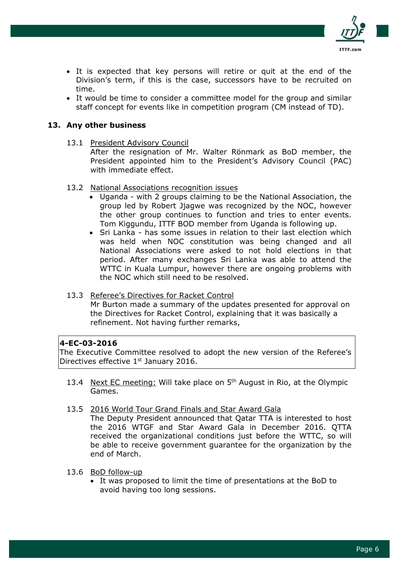

- It is expected that key persons will retire or quit at the end of the Division's term, if this is the case, successors have to be recruited on time.
- It would be time to consider a committee model for the group and similar staff concept for events like in competition program (CM instead of TD).

## 13. Any other business

13.1 President Advisory Council

After the resignation of Mr. Walter Rönmark as BoD member, the President appointed him to the President's Advisory Council (PAC) with immediate effect.

- 13.2 National Associations recognition issues
	- Uganda with 2 groups claiming to be the National Association, the group led by Robert Jjagwe was recognized by the NOC, however the other group continues to function and tries to enter events. Tom Kiggundu, ITTF BOD member from Uganda is following up.
	- Sri Lanka has some issues in relation to their last election which was held when NOC constitution was being changed and all National Associations were asked to not hold elections in that period. After many exchanges Sri Lanka was able to attend the WTTC in Kuala Lumpur, however there are ongoing problems with the NOC which still need to be resolved.

#### 13.3 Referee's Directives for Racket Control Mr Burton made a summary of the updates presented for approval on the Directives for Racket Control, explaining that it was basically a refinement. Not having further remarks,

### 4-EC-03-2016

The Executive Committee resolved to adopt the new version of the Referee's Directives effective 1<sup>st</sup> January 2016.

- 13.4 Next EC meeting: Will take place on 5<sup>th</sup> August in Rio, at the Olympic Games.
- 13.5 2016 World Tour Grand Finals and Star Award Gala

The Deputy President announced that Qatar TTA is interested to host the 2016 WTGF and Star Award Gala in December 2016. QTTA received the organizational conditions just before the WTTC, so will be able to receive government guarantee for the organization by the end of March.

- 13.6 BoD follow-up
	- It was proposed to limit the time of presentations at the BoD to avoid having too long sessions.